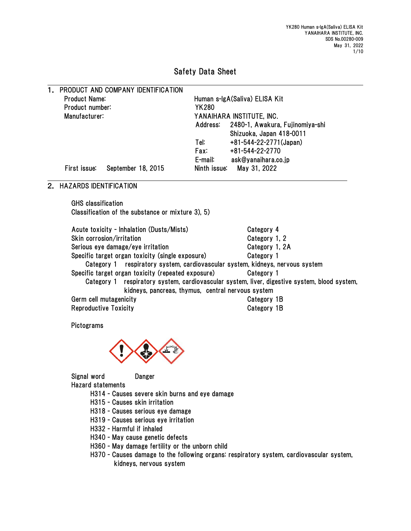# Safety Data Sheet

|              |                    |                                                                                                | Human s-IgA(Saliva) ELISA Kit   |  |
|--------------|--------------------|------------------------------------------------------------------------------------------------|---------------------------------|--|
|              |                    | <b>YK280</b>                                                                                   |                                 |  |
|              |                    | YANAIHARA INSTITUTE, INC.                                                                      |                                 |  |
|              |                    | Address:                                                                                       | 2480-1, Awakura, Fujinomiya-shi |  |
|              |                    |                                                                                                | Shizuoka, Japan 418-0011        |  |
|              |                    | Tel:                                                                                           | $+81 - 544 - 22 - 2771$ (Japan) |  |
|              |                    | Fax:                                                                                           | +81-544-22-2770                 |  |
|              |                    | E-mail:                                                                                        | ask@yanaihara.co.jp             |  |
| First issue: | September 18, 2015 | Ninth issue:                                                                                   | May 31, 2022                    |  |
|              | 1.                 | PRODUCT AND COMPANY IDENTIFICATION<br><b>Product Name:</b><br>Product number:<br>Manufacturer: |                                 |  |

## 2. HAZARDS IDENTIFICATION

GHS classification Classification of the substance or mixture 3), 5)

| Acute toxicity - Inhalation (Dusts/Mists)                                                    | Category 4     |
|----------------------------------------------------------------------------------------------|----------------|
| Skin corrosion/irritation                                                                    | Category 1, 2  |
| Serious eye damage/eye irritation                                                            | Category 1, 2A |
| Specific target organ toxicity (single exposure)                                             | Category 1     |
| Category 1 respiratory system, cardiovascular system, kidneys, nervous system                |                |
| Specific target organ toxicity (repeated exposure)                                           | Category 1     |
| Category 1 respiratory system, cardiovascular system, liver, digestive system, blood system, |                |
| kidneys, pancreas, thymus, central nervous system                                            |                |
| Germ cell mutagenicity                                                                       | Category 1B    |
| <b>Reproductive Toxicity</b>                                                                 | Category 1B    |

Pictograms



Signal word Danger Hazard statements

- H314 Causes severe skin burns and eye damage
- H315 Causes skin irritation
- H318 Causes serious eye damage
- H319 Causes serious eye irritation
- H332 Harmful if inhaled
- H340 May cause genetic defects
- H360 May damage fertility or the unborn child
- H370 Causes damage to the following organs: respiratory system, cardiovascular system, kidneys, nervous system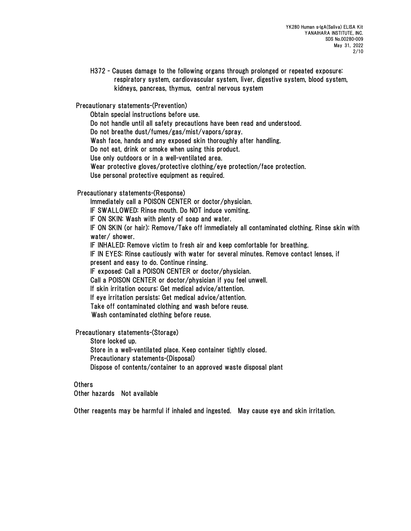H372 - Causes damage to the following organs through prolonged or repeated exposure: respiratory system, cardiovascular system, liver, digestive system, blood system, kidneys, pancreas, thymus, central nervous system

Precautionary statements-(Prevention)

Obtain special instructions before use.

Do not handle until all safety precautions have been read and understood.

Do not breathe dust/fumes/gas/mist/vapors/spray.

Wash face, hands and any exposed skin thoroughly after handling.

Do not eat, drink or smoke when using this product.

Use only outdoors or in a well-ventilated area.

Wear protective gloves/protective clothing/eye protection/face protection.

Use personal protective equipment as required.

Precautionary statements-(Response)

Immediately call a POISON CENTER or doctor/physician.

IF SWALLOWED: Rinse mouth. Do NOT induce vomiting.

IF ON SKIN: Wash with plenty of soap and water.

IF ON SKIN (or hair): Remove/Take off immediately all contaminated clothing. Rinse skin with water/ shower.

IF INHALED: Remove victim to fresh air and keep comfortable for breathing.

IF IN EYES: Rinse cautiously with water for several minutes. Remove contact lenses, if present and easy to do. Continue rinsing.

IF exposed: Call a POISON CENTER or doctor/physician.

Call a POISON CENTER or doctor/physician if you feel unwell.

If skin irritation occurs: Get medical advice/attention.

If eye irritation persists: Get medical advice/attention.

Take off contaminated clothing and wash before reuse.

Wash contaminated clothing before reuse.

Precautionary statements-(Storage)

Store locked up.

Store in a well-ventilated place. Keep container tightly closed.

Precautionary statements-(Disposal)

Dispose of contents/container to an approved waste disposal plant

Others

Other hazards Not available

Other reagents may be harmful if inhaled and ingested. May cause eye and skin irritation.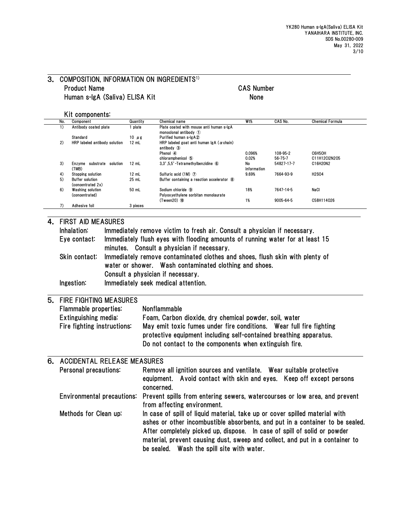## 3. COMPOSITION, INFORMATION ON INGREDIENTS<sup>1)</sup> Product Name CAS Number Human s-IgA (Saliva) ELISA Kit None

Kit components:

| 1)<br>Antibody coated plate<br>plate<br>Plate coated with mouse anti human s-lgA<br>monoclonal antibody $\circled{1}$<br>Purified human s-lgA2<br>Standard<br>10 $\mu$ g<br>2)<br>HRP labeled antibody solution<br>$12$ mL<br>HRP labeled goat anti human $\lg A$ ( $\alpha$ chain)<br>antibody $\circled{3}$<br>Phenol 4<br>108-95-2<br>C6H5OH<br>0.096%<br>0.02%<br>$56 - 75 - 7$<br>C11H12Cl2N205<br>chloramphenicol 5<br>3)<br>$12 \text{ mL}$<br>3.3',5.5'-Tetramethylbenzidine 6<br>54827-17-7<br>C16H20N2<br>No<br>Enzyme substrate solution<br>information<br>(TMB)<br>12 mL<br><b>H2SO4</b><br>4)<br>Sulfuric acid $(1M)$ $(7)$<br>9.69%<br>7664-93-9<br>Stopping solution<br>5)<br>25 mL<br>Buffer containing a reaction accelerator 8<br>Buffer solution<br>(concentrated 2x)<br>18%<br>NaCl<br>7647-14-5<br>6)<br>50 mL<br>Sodium chloride 9<br><b>Washing solution</b><br>(concentrated)<br>Polyoxyethylene sorbitan monolaurate |  |
|-----------------------------------------------------------------------------------------------------------------------------------------------------------------------------------------------------------------------------------------------------------------------------------------------------------------------------------------------------------------------------------------------------------------------------------------------------------------------------------------------------------------------------------------------------------------------------------------------------------------------------------------------------------------------------------------------------------------------------------------------------------------------------------------------------------------------------------------------------------------------------------------------------------------------------------------------|--|
|                                                                                                                                                                                                                                                                                                                                                                                                                                                                                                                                                                                                                                                                                                                                                                                                                                                                                                                                               |  |
|                                                                                                                                                                                                                                                                                                                                                                                                                                                                                                                                                                                                                                                                                                                                                                                                                                                                                                                                               |  |
|                                                                                                                                                                                                                                                                                                                                                                                                                                                                                                                                                                                                                                                                                                                                                                                                                                                                                                                                               |  |
|                                                                                                                                                                                                                                                                                                                                                                                                                                                                                                                                                                                                                                                                                                                                                                                                                                                                                                                                               |  |
|                                                                                                                                                                                                                                                                                                                                                                                                                                                                                                                                                                                                                                                                                                                                                                                                                                                                                                                                               |  |
|                                                                                                                                                                                                                                                                                                                                                                                                                                                                                                                                                                                                                                                                                                                                                                                                                                                                                                                                               |  |
|                                                                                                                                                                                                                                                                                                                                                                                                                                                                                                                                                                                                                                                                                                                                                                                                                                                                                                                                               |  |
|                                                                                                                                                                                                                                                                                                                                                                                                                                                                                                                                                                                                                                                                                                                                                                                                                                                                                                                                               |  |
|                                                                                                                                                                                                                                                                                                                                                                                                                                                                                                                                                                                                                                                                                                                                                                                                                                                                                                                                               |  |
|                                                                                                                                                                                                                                                                                                                                                                                                                                                                                                                                                                                                                                                                                                                                                                                                                                                                                                                                               |  |
|                                                                                                                                                                                                                                                                                                                                                                                                                                                                                                                                                                                                                                                                                                                                                                                                                                                                                                                                               |  |
| 1%<br>C58H114O26<br>$(Tween20)$ $@$<br>9005-64-5                                                                                                                                                                                                                                                                                                                                                                                                                                                                                                                                                                                                                                                                                                                                                                                                                                                                                              |  |
| 7)<br>3 pieces<br>Adhesive foil                                                                                                                                                                                                                                                                                                                                                                                                                                                                                                                                                                                                                                                                                                                                                                                                                                                                                                               |  |
|                                                                                                                                                                                                                                                                                                                                                                                                                                                                                                                                                                                                                                                                                                                                                                                                                                                                                                                                               |  |

# 4. FIRST AID MEASURES Inhalation: Immediately remove victim to fresh air. Consult a physician if necessary. Eye contact: Immediately flush eyes with flooding amounts of running water for at least 15 minutes. Consult a physician if necessary. Skin contact: Immediately remove contaminated clothes and shoes, flush skin with plenty of water or shower. Wash contaminated clothing and shoes. Consult a physician if necessary. Ingestion: Immediately seek medical attention.

# 5. FIRE FIGHTING MEASURES

| Flammable properties:       | <b>Nonflammable</b>                                                 |
|-----------------------------|---------------------------------------------------------------------|
| Extinguishing media:        | Foam, Carbon dioxide, dry chemical powder, soil, water              |
| Fire fighting instructions: | May emit toxic fumes under fire conditions. Wear full fire fighting |
|                             | protective equipment including self-contained breathing apparatus.  |
|                             | Do not contact to the components when extinguish fire.              |

6. ACCIDENTAL RELEASE MEASURES Personal precautions: Remove all ignition sources and ventilate. Wear suitable protective equipment. Avoid contact with skin and eyes. Keep off except persons concerned. Environmental precautions: Prevent spills from entering sewers, watercourses or low area, and prevent from affecting environment. Methods for Clean up: In case of spill of liquid material, take up or cover spilled material with ashes or other incombustible absorbents, and put in a container to be sealed. After completely picked up, dispose. In case of spill of solid or powder material, prevent causing dust, sweep and collect, and put in a container to be sealed. Wash the spill site with water.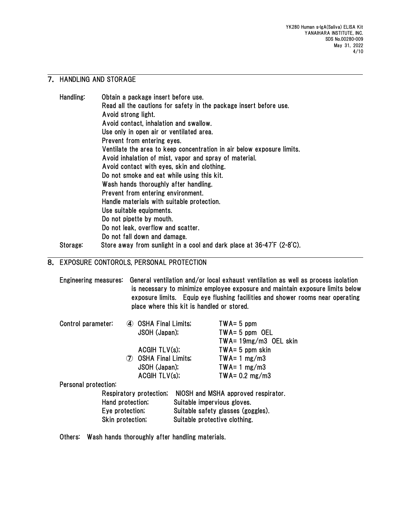## 7. HANDLING AND STORAGE

| Handling: | Obtain a package insert before use.                                    |
|-----------|------------------------------------------------------------------------|
|           | Read all the cautions for safety in the package insert before use.     |
|           | Avoid strong light.                                                    |
|           | Avoid contact, inhalation and swallow.                                 |
|           | Use only in open air or ventilated area.                               |
|           | Prevent from entering eyes.                                            |
|           | Ventilate the area to keep concentration in air below exposure limits. |
|           | Avoid inhalation of mist, vapor and spray of material.                 |
|           | Avoid contact with eyes, skin and clothing.                            |
|           | Do not smoke and eat while using this kit.                             |
|           | Wash hands thoroughly after handling.                                  |
|           | Prevent from entering environment.                                     |
|           | Handle materials with suitable protection.                             |
|           | Use suitable equipments.                                               |
|           | Do not pipette by mouth.                                               |
|           | Do not leak, overflow and scatter.                                     |
|           | Do not fall down and damage.                                           |
| Storage:  | Store away from sunlight in a cool and dark place at 36-47°F (2-8°C).  |

# 8. EXPOSURE CONTOROLS, PERSONAL PROTECTION

| <b>Engineering measures:</b> |                         |                        | place where this kit is handled or stored. | General ventilation and/or local exhaust ventilation as well as process isolation<br>is necessary to minimize employee exposure and maintain exposure limits below<br>exposure limits. Equip eye flushing facilities and shower rooms near operating |
|------------------------------|-------------------------|------------------------|--------------------------------------------|------------------------------------------------------------------------------------------------------------------------------------------------------------------------------------------------------------------------------------------------------|
| Control parameter:           |                         | (4) OSHA Final Limits: |                                            | $TWA = 5$ ppm                                                                                                                                                                                                                                        |
|                              |                         | JSOH (Japan);          |                                            | $TWA = 5$ ppm OEL                                                                                                                                                                                                                                    |
|                              |                         |                        |                                            | TWA= 19mg/m3 OEL skin                                                                                                                                                                                                                                |
|                              |                         | ACGHTLV(s);            |                                            | $TWA = 5$ ppm skin                                                                                                                                                                                                                                   |
| 7 OSHA Final Limits;         |                         |                        | $TWA = 1 mg/m3$                            |                                                                                                                                                                                                                                                      |
|                              |                         | JSOH (Japan);          |                                            | $TWA = 1 mg/m3$                                                                                                                                                                                                                                      |
|                              |                         | ACGIH TLV(s);          |                                            | TWA= $0.2 \text{ mg/m3}$                                                                                                                                                                                                                             |
| Personal protection:         |                         |                        |                                            |                                                                                                                                                                                                                                                      |
|                              | Respiratory protection; |                        | NIOSH and MSHA approved respirator.        |                                                                                                                                                                                                                                                      |
|                              | Hand protection;        |                        | Suitable impervious gloves.                |                                                                                                                                                                                                                                                      |
|                              | Eye protection;         |                        |                                            | Suitable safety glasses (goggles).                                                                                                                                                                                                                   |
|                              | Skin protection;        |                        | Suitable protective clothing.              |                                                                                                                                                                                                                                                      |

Others: Wash hands thoroughly after handling materials.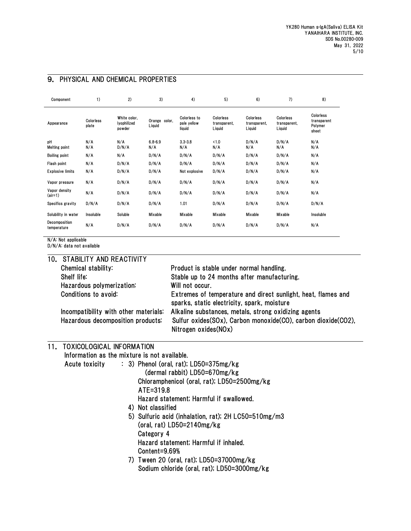| Component                    | 1)                        | 2)                                    | 3)                      | 4)                                    | 5)                                  | 6)                                  | 7)                                  | 8)                                           |
|------------------------------|---------------------------|---------------------------------------|-------------------------|---------------------------------------|-------------------------------------|-------------------------------------|-------------------------------------|----------------------------------------------|
| Appearance                   | <b>Colorless</b><br>plate | White color,<br>lyophilized<br>powder | Orange color,<br>Liquid | Colorless to<br>pale yellow<br>liquid | Colorless<br>transparent,<br>Liquid | Colorless<br>transparent,<br>Liquid | Colorless<br>transparent,<br>Liquid | Colorless<br>transparent<br>Polymer<br>sheet |
| pH<br>Melting point          | N/A<br>N/A                | N/A<br>D/N/A                          | $6.8 - 6.9$<br>N/A      | $3.3 - 3.8$<br>N/A                    | <1.0<br>N/A                         | D/N/A<br>N/A                        | D/N/A<br>N/A                        | N/A<br>N/A                                   |
| <b>Boiling point</b>         | N/A                       | N/A                                   | D/N/A                   | D/N/A                                 | D/N/A                               | D/N/A                               | D/N/A                               | N/A                                          |
| Flash point                  | N/A                       | D/N/A                                 | D/N/A                   | D/N/A                                 | D/N/A                               | D/N/A                               | D/N/A                               | N/A                                          |
| <b>Explosive limits</b>      | N/A                       | D/N/A                                 | D/N/A                   | Not explosive                         | D/N/A                               | D/N/A                               | D/N/A                               | N/A                                          |
| Vapor pressure               | N/A                       | D/N/A                                 | D/N/A                   | D/N/A                                 | D/N/A                               | D/N/A                               | D/N/A                               | N/A                                          |
| Vapor density<br>$air=1)$    | N/A                       | D/N/A                                 | D/N/A                   | D/N/A                                 | D/N/A                               | D/N/A                               | D/N/A                               | N/A                                          |
| Specifics gravity            | D/N/A                     | D/N/A                                 | D/N/A                   | 1.01                                  | D/N/A                               | D/N/A                               | D/N/A                               | D/N/A                                        |
| Solubility in water          | Insoluble                 | Soluble                               | Mixable                 | Mixable                               | Mixable                             | Mixable                             | Mixable                             | Insoluble                                    |
| Decomposition<br>temperature | N/A                       | D/N/A                                 | D/N/A                   | D/N/A                                 | D/N/A                               | D/N/A                               | D/N/A                               | N/A                                          |

#### 9. PHYSICAL AND CHEMICAL PROPERTIES

N/A: Not applicable

D/N/A: data not available

| 10. STABILITY AND REACTIVITY          |                                                                                                              |
|---------------------------------------|--------------------------------------------------------------------------------------------------------------|
| Chemical stability:                   | Product is stable under normal handling.                                                                     |
| Shelf life:                           | Stable up to 24 months after manufacturing.                                                                  |
| Hazardous polymerization:             | Will not occur.                                                                                              |
| Conditions to avoid:                  | Extremes of temperature and direct sunlight, heat, flames and<br>sparks, static electricity, spark, moisture |
| Incompatibility with other materials: | Alkaline substances, metals, strong oxidizing agents                                                         |
| Hazardous decomposition products:     | Sulfur oxides(SOx), Carbon monoxide(CO), carbon dioxide(CO2),<br>Nitrogen oxides (NO <sub>x</sub> )          |

# 11. TOXICOLOGICAL INFORMATION

Information as the mixture is not available.

| <b>Acute toxicity</b> |  | $: 3)$ Phenol (oral, rat); LD50=375mg/kg<br>(dermal rabbit) LD50=670mg/kg          |
|-----------------------|--|------------------------------------------------------------------------------------|
|                       |  | Chloramphenicol (oral, rat); LD50=2500mg/kg<br>ATE=319.8                           |
|                       |  | Hazard statement; Harmful if swallowed.                                            |
|                       |  | 4) Not classified                                                                  |
|                       |  | 5) Sulfuric acid (inhalation, rat); 2H LC50=510mg/m3<br>(oral, rat) LD50=2140mg/kg |
|                       |  | Category 4                                                                         |
|                       |  | Hazard statement; Harmful if inhaled.                                              |
|                       |  | Content=9.69%                                                                      |
|                       |  | 7) Tween 20 (oral, rat); LD50=37000mg/kg                                           |
|                       |  |                                                                                    |

Sodium chloride (oral, rat); LD50=3000mg/kg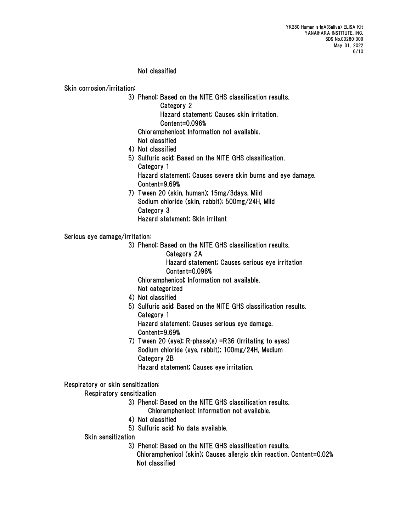#### Not classified

Skin corrosion/irritation:

- 3) Phenol; Based on the NITE GHS classification results.
	- Category 2

Hazard statement; Causes skin irritation.

Content=0.096%

Chloramphenicol; Information not available.

- Not classified
- 4) Not classified
- 5) Sulfuric acid; Based on the NITE GHS classification. Category 1 Hazard statement; Causes severe skin burns and eye damage.
	- Content=9.69%
- 7) Tween 20 (skin, human); 15mg/3days, Mild Sodium chloride (skin, rabbit); 500mg/24H, Mild Category 3 Hazard statement; Skin irritant

Serious eye damage/irritation:

- 3) Phenol; Based on the NITE GHS classification results.
	- Category 2A

Hazard statement; Causes serious eye irritation Content=0.096%

Chloramphenicol; Information not available.

- Not categorized
- 4) Not classified
- 5) Sulfuric acid; Based on the NITE GHS classification results. Category 1

Hazard statement; Causes serious eye damage.

Content=9.69%

 7) Tween 20 (eye); R-phase(s) =R36 (Irritating to eyes) Sodium chloride (eye, rabbit); 100mg/24H, Medium Category 2B Hazard statement; Causes eye irritation.

# Respiratory or skin sensitization:

Respiratory sensitization

- 3) Phenol; Based on the NITE GHS classification results. Chloramphenicol; Information not available.
- 4) Not classified
- 5) Sulfuric acid; No data available.

Skin sensitization

 3) Phenol; Based on the NITE GHS classification results. Chloramphenicol (skin); Causes allergic skin reaction. Content=0.02% Not classified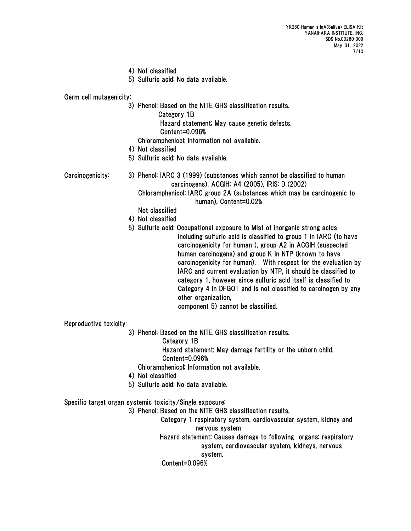- 4) Not classified
- 5) Sulfuric acid; No data available.

Germ cell mutagenicity:

- 3) Phenol; Based on the NITE GHS classification results.
	- Category 1B

Hazard statement; May cause genetic defects.

- Content=0.096%
- Chloramphenicol; Information not available.
- 4) Not classified
- 5) Sulfuric acid; No data available.

- Carcinogenicity: 3) Phenol; IARC 3 (1999) (substances which cannot be classified to human carcinogens), ACGIH: A4 (2005), IRIS: D (2002) Chloramphenicol; IARC group 2A (substances which may be carcinogenic to
	- human), Content=0.02%
	- Not classified
	- 4) Not classified
	- 5) Sulfuric acid; Occupational exposure to Mist of inorganic strong acids including sulfuric acid is classified to group 1 in IARC (to have carcinogenicity for human ), group A2 in ACGIH (suspected human carcinogens) and group K in NTP (known to have carcinogenicity for human). With respect for the evaluation by IARC and current evaluation by NTP, it should be classified to category 1, however since sulfuric acid itself is classified to Category 4 in DFGOT and is not classified to carcinogen by any other organization,

component 5) cannot be classified.

Reproductive toxicity:

- 3) Phenol; Based on the NITE GHS classification results.
	- Category 1B

Hazard statement; May damage fertility or the unborn child.

Content=0.096%

Chloramphenicol; Information not available.

- 4) Not classified
- 5) Sulfuric acid; No data available.

Specific target organ systemic toxicity/Single exposure:

- 3) Phenol; Based on the NITE GHS classification results.
	- Category 1 respiratory system, cardiovascular system, kidney and nervous system

 Hazard statement; Causes damage to following organs: respiratory system, cardiovascular system, kidneys, nervous

system.

Content=0.096%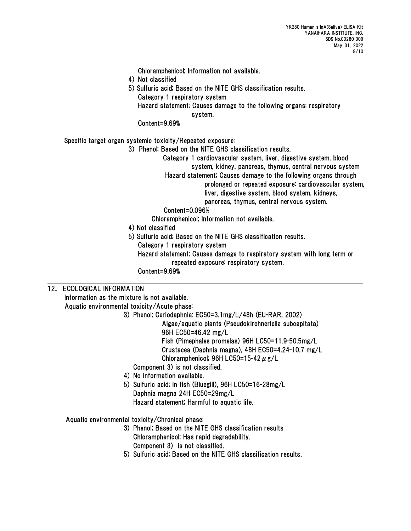Chloramphenicol; Information not available.

- 4) Not classified
- 5) Sulfuric acid; Based on the NITE GHS classification results. Category 1 respiratory system Hazard statement; Causes damage to the following organs: respiratory system.

Content=9.69%

Specific target organ systemic toxicity/Repeated exposure:

- 3) Phenol; Based on the NITE GHS classification results.
	- Category 1 cardiovascular system, liver, digestive system, blood

system, kidney, pancreas, thymus, central nervous system

- Hazard statement; Causes damage to the following organs through
	- prolonged or repeated exposure: cardiovascular system,
		- liver, digestive system, blood system, kidneys,

pancreas, thymus, central nervous system.

Content=0.096%

Chloramphenicol; Information not available.

- 4) Not classified
- 5) Sulfuric acid; Based on the NITE GHS classification results. Category 1 respiratory system Hazard statement; Causes damage to respiratory system with long term or
	- repeated exposure: respiratory system.
	- Content=9.69%

# 12. ECOLOGICAL INFORMATION

 Information as the mixture is not available. Aquatic environmental toxicity/Acute phase:

3) Phenol; Ceriodaphnia: EC50=3.1mg/L/48h (EU-RAR, 2002)

- Algae/aquatic plants (Pseudokirchneriella subcapitata) 96H EC50=46.42 mg/L
- Fish (Pimephales promelas) 96H LC50=11.9-50.5mg/L
- Crustacea (Daphnia magna), 48H EC50=4.24-10.7 mg/L
- Chloramphenicol; 96H LC50=15-42  $\mu$  g/L

Component 3) is not classified.

- 4) No information available.
- 5) Sulfuric acid; In fish (Bluegill), 96H LC50=16-28mg/L Daphnia magna 24H EC50=29mg/L Hazard statement; Harmful to aquatic life.

Aquatic environmental toxicity/Chronical phase:

- 3) Phenol; Based on the NITE GHS classification results Chloramphenicol; Has rapid degradability. Component 3) is not classified.
- 5) Sulfuric acid; Based on the NITE GHS classification results.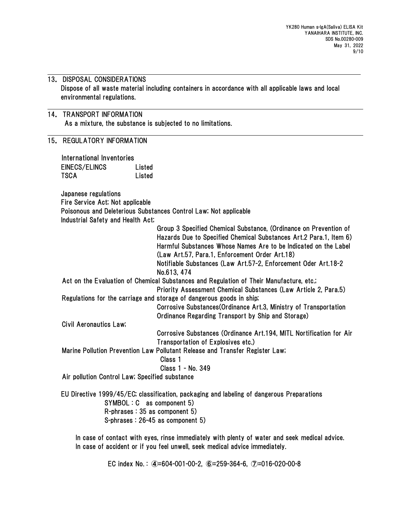# 13. DISPOSAL CONSIDERATIONS Dispose of all waste material including containers in accordance with all applicable laws and local environmental regulations.

## 14. TRANSPORT INFORMATION As a mixture, the substance is subjected to no limitations.

### 15. REGULATORY INFORMATION

| International Inventories |        |
|---------------------------|--------|
| EINECS/ELINCS             | Listed |
| TSCA                      | Listed |

Japanese regulations Fire Service Act; Not applicable Poisonous and Deleterious Substances Control Law; Not applicable Industrial Safety and Health Act;

Group 3 Specified Chemical Substance, (Ordinance on Prevention of Hazards Due to Specified Chemical Substances Art.2 Para.1, Item 6) Harmful Substances Whose Names Are to be Indicated on the Label (Law Art.57, Para.1, Enforcement Order Art.18) Notifiable Substances (Law Art.57-2, Enforcement Oder Art.18-2 No.613, 474

Act on the Evaluation of Chemical Substances and Regulation of Their Manufacture, etc.; Priority Assessment Chemical Substances (Law Article 2, Para.5) Regulations for the carriage and storage of dangerous goods in ship;

Corrosive Substances(Ordinance Art.3, Ministry of Transportation Ordinance Regarding Transport by Ship and Storage)

Civil Aeronautics Law;

Corrosive Substances (Ordinance Art.194, MITL Nortification for Air Transportation of Explosives etc.)

Marine Pollution Prevention Law Pollutant Release and Transfer Register Law;

Class 1

Class 1 - No. 349

Air pollution Control Law; Specified substance

EU Directive 1999/45/EC; classification, packaging and labeling of dangerous Preparations SYMBOL : C as component 5) R-phrases : 35 as component 5) S-phrases : 26-45 as component 5)

In case of contact with eyes, rinse immediately with plenty of water and seek medical advice. In case of accident or if you feel unwell, seek medical advice immediately.

EC index No. : ④=604-001-00-2, ⑥=259-364-6, ⑦=016-020-00-8